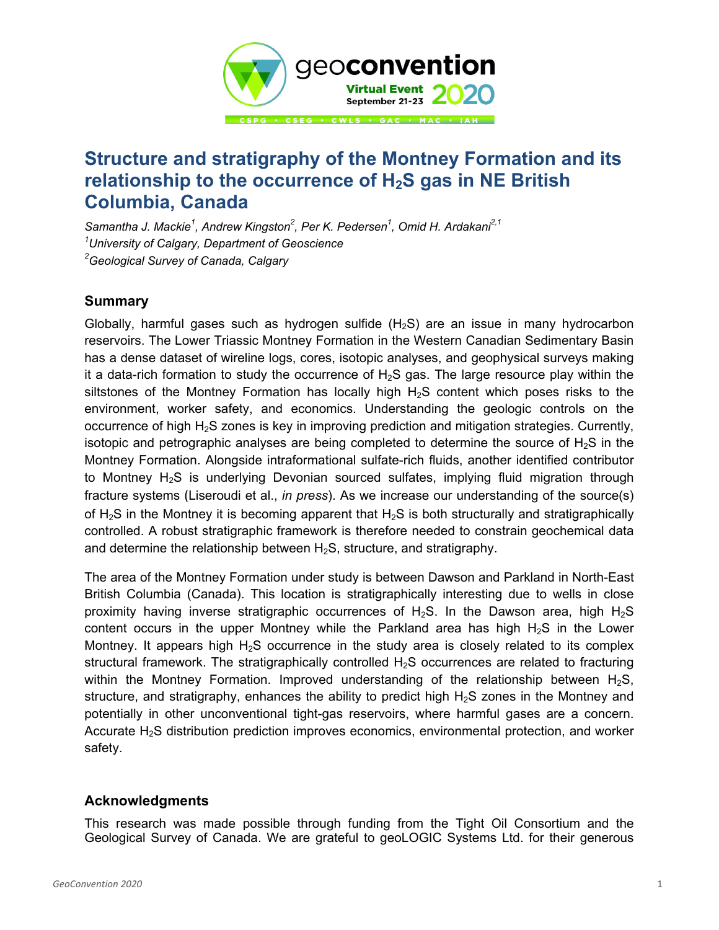

## **Structure and stratigraphy of the Montney Formation and its relationship to the occurrence of H2S gas in NE British Columbia, Canada**

Samantha J. Mackie<sup>1</sup>, Andrew Kingston<sup>2</sup>, Per K. Pedersen<sup>1</sup>, Omid H. Ardakani<sup>2,1</sup> *1 University of Calgary, Department of Geoscience 2 Geological Survey of Canada, Calgary* 

## **Summary**

Globally, harmful gases such as hydrogen sulfide  $(H_2S)$  are an issue in many hydrocarbon reservoirs. The Lower Triassic Montney Formation in the Western Canadian Sedimentary Basin has a dense dataset of wireline logs, cores, isotopic analyses, and geophysical surveys making it a data-rich formation to study the occurrence of  $H_2S$  gas. The large resource play within the siltstones of the Montney Formation has locally high  $H_2S$  content which poses risks to the environment, worker safety, and economics. Understanding the geologic controls on the occurrence of high H<sub>2</sub>S zones is key in improving prediction and mitigation strategies. Currently, isotopic and petrographic analyses are being completed to determine the source of  $H_2S$  in the Montney Formation. Alongside intraformational sulfate-rich fluids, another identified contributor to Montney  $H_2S$  is underlying Devonian sourced sulfates, implying fluid migration through fracture systems (Liseroudi et al., *in press*). As we increase our understanding of the source(s) of  $H_2S$  in the Montney it is becoming apparent that  $H_2S$  is both structurally and stratigraphically controlled. A robust stratigraphic framework is therefore needed to constrain geochemical data and determine the relationship between  $H_2S$ , structure, and stratigraphy.

The area of the Montney Formation under study is between Dawson and Parkland in North-East British Columbia (Canada). This location is stratigraphically interesting due to wells in close proximity having inverse stratigraphic occurrences of  $H_2S$ . In the Dawson area, high  $H_2S$ content occurs in the upper Montney while the Parkland area has high  $H<sub>2</sub>S$  in the Lower Montney. It appears high  $H_2S$  occurrence in the study area is closely related to its complex structural framework. The stratigraphically controlled  $H_2S$  occurrences are related to fracturing within the Montney Formation. Improved understanding of the relationship between  $H_2S$ , structure, and stratigraphy, enhances the ability to predict high  $H<sub>2</sub>S$  zones in the Montney and potentially in other unconventional tight-gas reservoirs, where harmful gases are a concern. Accurate H2S distribution prediction improves economics, environmental protection, and worker safety.

## **Acknowledgments**

This research was made possible through funding from the Tight Oil Consortium and the Geological Survey of Canada. We are grateful to geoLOGIC Systems Ltd. for their generous